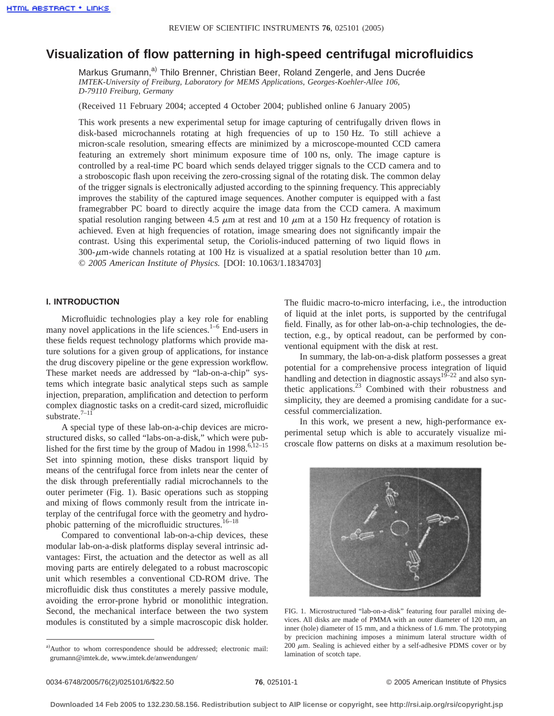# **Visualization of flow patterning in high-speed centrifugal microfluidics**

Markus Grumann,<sup>a)</sup> Thilo Brenner, Christian Beer, Roland Zengerle, and Jens Ducrée *IMTEK-University of Freiburg, Laboratory for MEMS Applications, Georges-Koehler-Allee 106, D-79110 Freiburg, Germany*

(Received 11 February 2004; accepted 4 October 2004; published online 6 January 2005)

This work presents a new experimental setup for image capturing of centrifugally driven flows in disk-based microchannels rotating at high frequencies of up to 150 Hz. To still achieve a micron-scale resolution, smearing effects are minimized by a microscope-mounted CCD camera featuring an extremely short minimum exposure time of 100 ns, only. The image capture is controlled by a real-time PC board which sends delayed trigger signals to the CCD camera and to a stroboscopic flash upon receiving the zero-crossing signal of the rotating disk. The common delay of the trigger signals is electronically adjusted according to the spinning frequency. This appreciably improves the stability of the captured image sequences. Another computer is equipped with a fast framegrabber PC board to directly acquire the image data from the CCD camera. A maximum spatial resolution ranging between 4.5  $\mu$ m at rest and 10  $\mu$ m at a 150 Hz frequency of rotation is achieved. Even at high frequencies of rotation, image smearing does not significantly impair the contrast. Using this experimental setup, the Coriolis-induced patterning of two liquid flows in 300- $\mu$ m-wide channels rotating at 100 Hz is visualized at a spatial resolution better than 10  $\mu$ m. © *2005 American Institute of Physics.* [DOI: 10.1063/1.1834703]

# **I. INTRODUCTION**

Microfluidic technologies play a key role for enabling many novel applications in the life sciences.<sup>1–6</sup> End-users in these fields request technology platforms which provide mature solutions for a given group of applications, for instance the drug discovery pipeline or the gene expression workflow. These market needs are addressed by "lab-on-a-chip" systems which integrate basic analytical steps such as sample injection, preparation, amplification and detection to perform complex diagnostic tasks on a credit-card sized, microfluidic substrate. $7-11$ <sup>7</sup>

A special type of these lab-on-a-chip devices are microstructured disks, so called "labs-on-a-disk," which were published for the first time by the group of Madou in 1998.<sup>6,12–15</sup> Set into spinning motion, these disks transport liquid by means of the centrifugal force from inlets near the center of the disk through preferentially radial microchannels to the outer perimeter (Fig. 1). Basic operations such as stopping and mixing of flows commonly result from the intricate interplay of the centrifugal force with the geometry and hydrophobic patterning of the microfluidic structures. $16-18$ 

Compared to conventional lab-on-a-chip devices, these modular lab-on-a-disk platforms display several intrinsic advantages: First, the actuation and the detector as well as all moving parts are entirely delegated to a robust macroscopic unit which resembles a conventional CD-ROM drive. The microfluidic disk thus constitutes a merely passive module, avoiding the error-prone hybrid or monolithic integration. Second, the mechanical interface between the two system modules is constituted by a simple macroscopic disk holder.

a) Author to whom correspondence should be addressed; electronic mail: grumann@imtek.de, www.imtek.de/anwendungen/

The fluidic macro-to-micro interfacing, i.e., the introduction of liquid at the inlet ports, is supported by the centrifugal field. Finally, as for other lab-on-a-chip technologies, the detection, e.g., by optical readout, can be performed by conventional equipment with the disk at rest.

In summary, the lab-on-a-disk platform possesses a great potential for a comprehensive process integration of liquid handling and detection in diagnostic assays<sup>19–22</sup> and also synthetic applications.23 Combined with their robustness and simplicity, they are deemed a promising candidate for a successful commercialization.

In this work, we present a new, high-performance experimental setup which is able to accurately visualize microscale flow patterns on disks at a maximum resolution be-



FIG. 1. Microstructured "lab-on-a-disk" featuring four parallel mixing devices. All disks are made of PMMA with an outer diameter of 120 mm, an inner (hole) diameter of 15 mm, and a thickness of 1.6 mm. The prototyping by precicion machining imposes a minimum lateral structure width of  $200 \mu$ m. Sealing is achieved either by a self-adhesive PDMS cover or by lamination of scotch tape.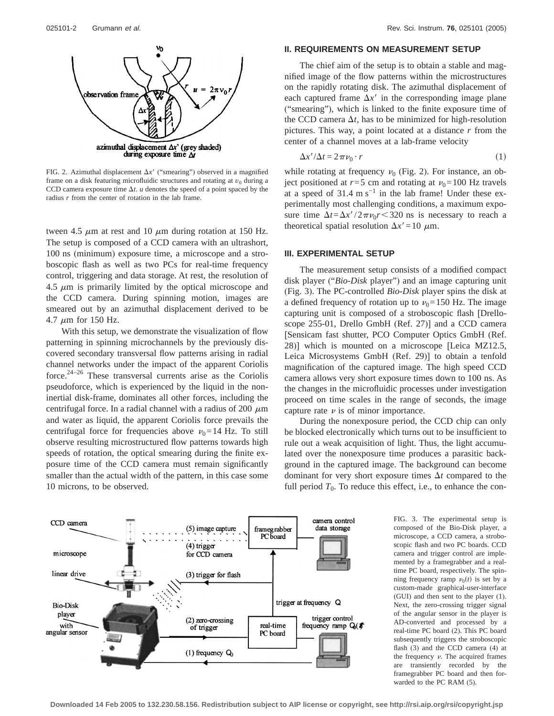

FIG. 2. Azimuthal displacement  $\Delta x$ <sup>6</sup> ("smearing") observed in a magnified frame on a disk featuring microfluidic structures and rotating at  $v_0$  during a CCD camera exposure time  $\Delta t$ . *u* denotes the speed of a point spaced by the radius *r* from the center of rotation in the lab frame.

tween 4.5  $\mu$ m at rest and 10  $\mu$ m during rotation at 150 Hz. The setup is composed of a CCD camera with an ultrashort, 100 ns (minimum) exposure time, a microscope and a stroboscopic flash as well as two PCs for real-time frequency control, triggering and data storage. At rest, the resolution of 4.5  $\mu$ m is primarily limited by the optical microscope and the CCD camera. During spinning motion, images are smeared out by an azimuthal displacement derived to be 4.7  $\mu$ m for 150 Hz.

With this setup, we demonstrate the visualization of flow patterning in spinning microchannels by the previously discovered secondary transversal flow patterns arising in radial channel networks under the impact of the apparent Coriolis force. $2^{24-26}$  These transversal currents arise as the Coriolis pseudoforce, which is experienced by the liquid in the noninertial disk-frame, dominates all other forces, including the centrifugal force. In a radial channel with a radius of 200  $\mu$ m and water as liquid, the apparent Coriolis force prevails the centrifugal force for frequencies above  $v_0$ =14 Hz. To still observe resulting microstructured flow patterns towards high speeds of rotation, the optical smearing during the finite exposure time of the CCD camera must remain significantly smaller than the actual width of the pattern, in this case some 10 microns, to be observed.

## **II. REQUIREMENTS ON MEASUREMENT SETUP**

The chief aim of the setup is to obtain a stable and magnified image of the flow patterns within the microstructures on the rapidly rotating disk. The azimuthal displacement of each captured frame  $\Delta x$ <sup>6</sup> in the corresponding image plane ("smearing"), which is linked to the finite exposure time of the CCD camera  $\Delta t$ , has to be minimized for high-resolution pictures. This way, a point located at a distance *r* from the center of a channel moves at a lab-frame velocity

$$
\Delta x'/\Delta t = 2\pi \nu_0 \cdot r \tag{1}
$$

while rotating at frequency  $\nu_0$  (Fig. 2). For instance, an object positioned at  $r=5$  cm and rotating at  $v_0=100$  Hz travels at a speed of  $31.4 \text{ m s}^{-1}$  in the lab frame! Under these experimentally most challenging conditions, a maximum exposure time  $\Delta t = \Delta x'/2\pi\nu_0r < 320$  ns is necessary to reach a theoretical spatial resolution  $\Delta x' = 10 \mu$ m.

### **III. EXPERIMENTAL SETUP**

The measurement setup consists of a modified compact disk player ("*Bio-Disk* player") and an image capturing unit (Fig. 3). The PC-controlled *Bio-Disk* player spins the disk at a defined frequency of rotation up to  $v_0$ =150 Hz. The image capturing unit is composed of a stroboscopic flash [Drelloscope 255-01, Drello GmbH (Ref. 27)] and a CCD camera [Sensicam fast shutter, PCO Computer Optics GmbH (Ref. 28)] which is mounted on a microscope [Leica MZ12.5, Leica Microsystems GmbH (Ref. 29)] to obtain a tenfold magnification of the captured image. The high speed CCD camera allows very short exposure times down to 100 ns. As the changes in the microfluidic processes under investigation proceed on time scales in the range of seconds, the image capture rate  $\nu$  is of minor importance.

During the nonexposure period, the CCD chip can only be blocked electronically which turns out to be insufficient to rule out a weak acquisition of light. Thus, the light accumulated over the nonexposure time produces a parasitic background in the captured image. The background can become dominant for very short exposure times  $\Delta t$  compared to the full period  $T_0$ . To reduce this effect, i.e., to enhance the con-



FIG. 3. The experimental setup is composed of the Bio-Disk player, a microscope, a CCD camera, a stroboscopic flash and two PC boards. CCD camera and trigger control are implemented by a framegrabber and a realtime PC board, respectively. The spinning frequency ramp  $v_0(t)$  is set by a custom-made graphical-user-interface (GUI) and then sent to the player (1). Next, the zero-crossing trigger signal of the angular sensor in the player is AD-converted and processed by a real-time PC board (2). This PC board subsequently triggers the stroboscopic flash (3) and the CCD camera (4) at the frequency  $\nu$ . The acquired frames are transiently recorded by the framegrabber PC board and then forwarded to the PC RAM (5).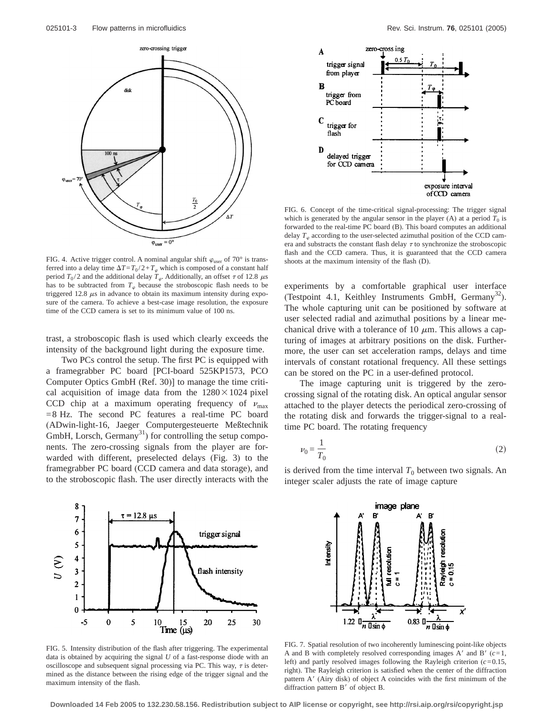

FIG. 4. Active trigger control. A nominal angular shift  $\varphi_{user}$  of 70° is transferred into a delay time  $\Delta T = T_0 / 2 + T_\varphi$  which is composed of a constant half period  $T_0/2$  and the additional delay  $T_\varphi$ . Additionally, an offset  $\tau$  of 12.8  $\mu$ s has to be subtracted from  $T_{\varphi}$  because the stroboscopic flash needs to be triggered 12.8  $\mu$ s in advance to obtain its maximum intensity during exposure of the camera. To achieve a best-case image resolution, the exposure time of the CCD camera is set to its minimum value of 100 ns.

trast, a stroboscopic flash is used which clearly exceeds the intensity of the background light during the exposure time.

Two PCs control the setup. The first PC is equipped with a framegrabber PC board [PCI-board 525KP1573, PCO Computer Optics GmbH (Ref. 30)] to manage the time critical acquisition of image data from the  $1280\times1024$  pixel CCD chip at a maximum operating frequency of  $v_{\text{max}}$ =8 Hz. The second PC features a real-time PC board (ADwin-light-16, Jaeger Computergesteuerte Meßtechnik GmbH, Lorsch, Germany<sup>31</sup>) for controlling the setup components. The zero-crossing signals from the player are forwarded with different, preselected delays (Fig. 3) to the framegrabber PC board (CCD camera and data storage), and to the stroboscopic flash. The user directly interacts with the



FIG. 6. Concept of the time-critical signal-processing: The trigger signal which is generated by the angular sensor in the player (A) at a period  $T_0$  is forwarded to the real-time PC board (B). This board computes an additional delay  $T_{\varphi}$  according to the user-selected azimuthal position of the CCD camera and substracts the constant flash delay  $\tau$  to synchronize the stroboscopic flash and the CCD camera. Thus, it is guaranteed that the CCD camera shoots at the maximum intensity of the flash (D).

experiments by a comfortable graphical user interface (Testpoint 4.1, Keithley Instruments GmbH, Germany<sup>32</sup>). The whole capturing unit can be positioned by software at user selected radial and azimuthal positions by a linear mechanical drive with a tolerance of 10  $\mu$ m. This allows a capturing of images at arbitrary positions on the disk. Furthermore, the user can set acceleration ramps, delays and time intervals of constant rotational frequency. All these settings can be stored on the PC in a user-defined protocol.

The image capturing unit is triggered by the zerocrossing signal of the rotating disk. An optical angular sensor attached to the player detects the periodical zero-crossing of the rotating disk and forwards the trigger-signal to a realtime PC board. The rotating frequency

$$
\nu_0 = \frac{1}{T_0} \tag{2}
$$

is derived from the time interval  $T_0$  between two signals. An integer scaler adjusts the rate of image capture



FIG. 5. Intensity distribution of the flash after triggering. The experimental data is obtained by acquiring the signal *U* of a fast-response diode with an oscilloscope and subsequent signal processing via PC. This way,  $\tau$  is determined as the distance between the rising edge of the trigger signal and the maximum intensity of the flash.



FIG. 7. Spatial resolution of two incoherently luminescing point-like objects A and B with completely resolved corresponding images  $A'$  and  $B'$  ( $c=1$ , left) and partly resolved images following the Rayleigh criterion (*c*=0.15, right). The Rayleigh criterion is satisfied when the center of the diffraction pattern A' (Airy disk) of object A coincides with the first minimum of the diffraction pattern  $B'$  of object  $B$ .

**Downloaded 14 Feb 2005 to 132.230.58.156. Redistribution subject to AIP license or copyright, see http://rsi.aip.org/rsi/copyright.jsp**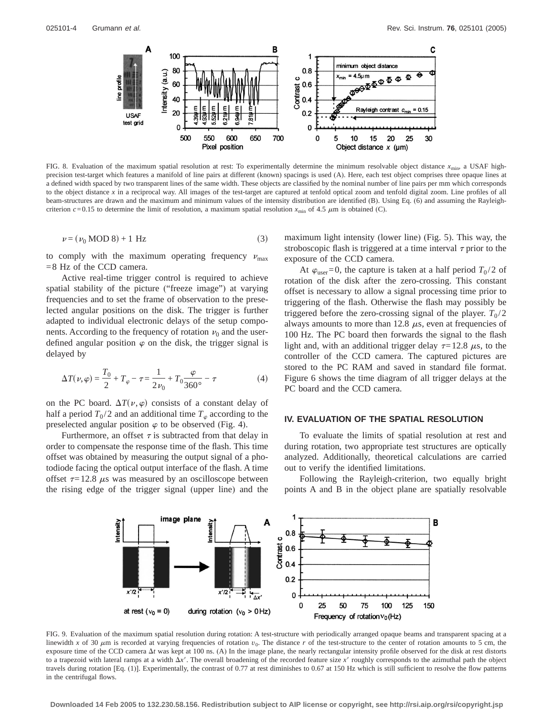

FIG. 8. Evaluation of the maximum spatial resolution at rest: To experimentally determine the minimum resolvable object distance  $x_{\text{min}}$ , a USAF highprecision test-target which features a manifold of line pairs at different (known) spacings is used (A). Here, each test object comprises three opaque lines at a defined width spaced by two transparent lines of the same width. These objects are classified by the nominal number of line pairs per mm which corresponds to the object distance *x* in a reciprocal way. All images of the test-target are captured at tenfold optical zoom and tenfold digital zoom. Line profiles of all beam-structures are drawn and the maximum and minimum values of the intensity distribution are identified (B). Using Eq. (6) and assuming the Rayleighcriterion  $c = 0.15$  to determine the limit of resolution, a maximum spatial resolution  $x_{\text{min}}$  of 4.5  $\mu$ m is obtained (C).

$$
\nu = (\nu_0 \text{ MOD } 8) + 1 \text{ Hz} \tag{3}
$$

to comply with the maximum operating frequency  $v_{\text{max}}$ =8 Hz of the CCD camera.

Active real-time trigger control is required to achieve spatial stability of the picture ("freeze image") at varying frequencies and to set the frame of observation to the preselected angular positions on the disk. The trigger is further adapted to individual electronic delays of the setup components. According to the frequency of rotation  $\nu_0$  and the userdefined angular position  $\varphi$  on the disk, the trigger signal is delayed by

$$
\Delta T(\nu,\varphi) = \frac{T_0}{2} + T_{\varphi} - \tau = \frac{1}{2\nu_0} + T_0 \frac{\varphi}{360^\circ} - \tau \tag{4}
$$

on the PC board.  $\Delta T(\nu, \varphi)$  consists of a constant delay of half a period  $T_0/2$  and an additional time  $T_\infty$  according to the preselected angular position  $\varphi$  to be observed (Fig. 4).

Furthermore, an offset  $\tau$  is subtracted from that delay in order to compensate the response time of the flash. This time offset was obtained by measuring the output signal of a photodiode facing the optical output interface of the flash. A time offset  $\tau$ =12.8  $\mu$ s was measured by an oscilloscope between the rising edge of the trigger signal (upper line) and the maximum light intensity (lower line) (Fig. 5). This way, the stroboscopic flash is triggered at a time interval  $\tau$  prior to the exposure of the CCD camera.

At  $\varphi_{user}=0$ , the capture is taken at a half period  $T_0/2$  of rotation of the disk after the zero-crossing. This constant offset is necessary to allow a signal processing time prior to triggering of the flash. Otherwise the flash may possibly be triggered before the zero-crossing signal of the player.  $T_0/2$ always amounts to more than 12.8  $\mu$ s, even at frequencies of 100 Hz. The PC board then forwards the signal to the flash light and, with an additional trigger delay  $\tau=12.8 \mu s$ , to the controller of the CCD camera. The captured pictures are stored to the PC RAM and saved in standard file format. Figure 6 shows the time diagram of all trigger delays at the PC board and the CCD camera.

#### **IV. EVALUATION OF THE SPATIAL RESOLUTION**

To evaluate the limits of spatial resolution at rest and during rotation, two appropriate test structures are optically analyzed. Additionally, theoretical calculations are carried out to verify the identified limitations.

Following the Rayleigh-criterion, two equally bright points A and B in the object plane are spatially resolvable



FIG. 9. Evaluation of the maximum spatial resolution during rotation: A test-structure with periodically arranged opaque beams and transparent spacing at a linewidth *x* of 30  $\mu$ m is recorded at varying frequencies of rotation  $v_0$ . The distance *r* of the test-structure to the center of rotation amounts to 5 cm, the exposure time of the CCD camera  $\Delta t$  was kept at 100 ns. (A) In the image plane, the nearly rectangular intensity profile observed for the disk at rest distorts to a trapezoid with lateral ramps at a width  $\Delta x'$ . The overall broadening of the recorded feature size  $x'$  roughly corresponds to the azimuthal path the object travels during rotation [Eq. (1)]. Experimentally, the contrast of 0.77 at rest diminishes to 0.67 at 150 Hz which is still sufficient to resolve the flow patterns in the centrifugal flows.

**Downloaded 14 Feb 2005 to 132.230.58.156. Redistribution subject to AIP license or copyright, see http://rsi.aip.org/rsi/copyright.jsp**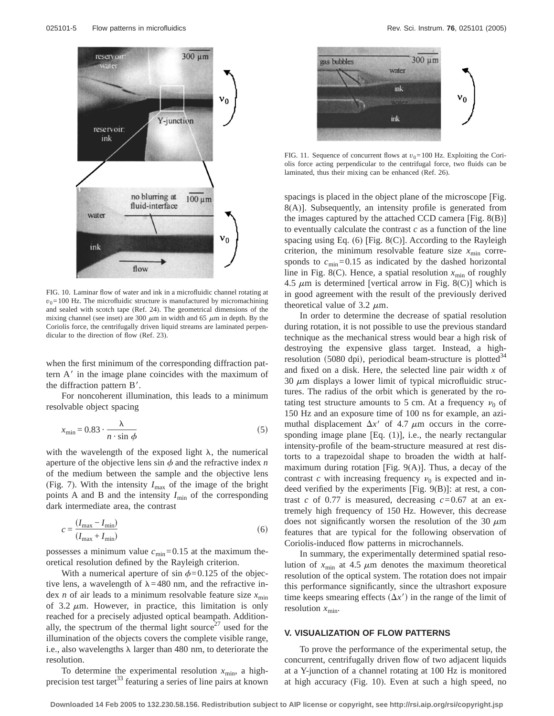

FIG. 10. Laminar flow of water and ink in a microfluidic channel rotating at  $v_0$ =100 Hz. The microfluidic structure is manufactured by micromachining and sealed with scotch tape (Ref. 24). The geometrical dimensions of the mixing channel (see inset) are 300  $\mu$ m in width and 65  $\mu$ m in depth. By the Coriolis force, the centrifugally driven liquid streams are laminated perpendicular to the direction of flow (Ref. 23).

when the first minimum of the corresponding diffraction pattern  $A'$  in the image plane coincides with the maximum of the diffraction pattern B'.

For noncoherent illumination, this leads to a minimum resolvable object spacing

$$
x_{\min} = 0.83 \cdot \frac{\lambda}{n \cdot \sin \phi} \tag{5}
$$

with the wavelength of the exposed light  $\lambda$ , the numerical aperture of the objective lens  $\sin \phi$  and the refractive index *n* of the medium between the sample and the objective lens (Fig. 7). With the intensity  $I_{\text{max}}$  of the image of the bright points A and B and the intensity  $I_{\text{min}}$  of the corresponding dark intermediate area, the contrast

$$
c = \frac{(I_{\text{max}} - I_{\text{min}})}{(I_{\text{max}} + I_{\text{min}})}
$$
(6)

possesses a minimum value  $c_{\text{min}}$ =0.15 at the maximum theoretical resolution defined by the Rayleigh criterion.

With a numerical aperture of sin  $\phi$ =0.125 of the objective lens, a wavelength of  $\lambda$ =480 nm, and the refractive index *n* of air leads to a minimum resolvable feature size  $x_{\text{min}}$ of 3.2  $\mu$ m. However, in practice, this limitation is only reached for a precisely adjusted optical beampath. Additionally, the spectrum of the thermal light source<sup> $27$ </sup> used for the illumination of the objects covers the complete visible range, i.e., also wavelengths  $\lambda$  larger than 480 nm, to deteriorate the resolution.

To determine the experimental resolution  $x_{\text{min}}$ , a highprecision test target<sup>33</sup> featuring a series of line pairs at known



FIG. 11. Sequence of concurrent flows at  $v_0$ =100 Hz. Exploiting the Coriolis force acting perpendicular to the centrifugal force, two fluids can be laminated, thus their mixing can be enhanced (Ref. 26).

spacings is placed in the object plane of the microscope [Fig. 8(A)]. Subsequently, an intensity profile is generated from the images captured by the attached CCD camera [Fig. 8(B)] to eventually calculate the contrast *c* as a function of the line spacing using Eq.  $(6)$  [Fig.  $8(C)$ ]. According to the Rayleigh criterion, the minimum resolvable feature size  $x_{\text{min}}$  corresponds to  $c_{\text{min}} = 0.15$  as indicated by the dashed horizontal line in Fig. 8(C). Hence, a spatial resolution  $x_{\text{min}}$  of roughly 4.5  $\mu$ m is determined [vertical arrow in Fig. 8(C)] which is in good agreement with the result of the previously derived theoretical value of 3.2  $\mu$ m.

In order to determine the decrease of spatial resolution during rotation, it is not possible to use the previous standard technique as the mechanical stress would bear a high risk of destroying the expensive glass target. Instead, a highresolution (5080 dpi), periodical beam-structure is plotted<sup>34</sup> and fixed on a disk. Here, the selected line pair width *x* of 30  $\mu$ m displays a lower limit of typical microfluidic structures. The radius of the orbit which is generated by the rotating test structure amounts to 5 cm. At a frequency  $\nu_0$  of 150 Hz and an exposure time of 100 ns for example, an azimuthal displacement  $\Delta x^{\prime}$  of 4.7  $\mu$ m occurs in the corresponding image plane [Eq. (1)], i.e., the nearly rectangular intensity-profile of the beam-structure measured at rest distorts to a trapezoidal shape to broaden the width at halfmaximum during rotation [Fig.  $9(A)$ ]. Thus, a decay of the contrast *c* with increasing frequency  $\nu_0$  is expected and indeed verified by the experiments [Fig. 9(B)]: at rest, a contrast *c* of 0.77 is measured, decreasing *c*=0.67 at an extremely high frequency of 150 Hz. However, this decrease does not significantly worsen the resolution of the 30  $\mu$ m features that are typical for the following observation of Coriolis-induced flow patterns in microchannels.

In summary, the experimentally determined spatial resolution of  $x_{\text{min}}$  at 4.5  $\mu$ m denotes the maximum theoretical resolution of the optical system. The rotation does not impair this performance significantly, since the ultrashort exposure time keeps smearing effects  $(\Delta x^{\prime})$  in the range of the limit of resolution  $x_{\min}$ .

#### **V. VISUALIZATION OF FLOW PATTERNS**

To prove the performance of the experimental setup, the concurrent, centrifugally driven flow of two adjacent liquids at a Y-junction of a channel rotating at 100 Hz is monitored at high accuracy (Fig. 10). Even at such a high speed, no

**Downloaded 14 Feb 2005 to 132.230.58.156. Redistribution subject to AIP license or copyright, see http://rsi.aip.org/rsi/copyright.jsp**